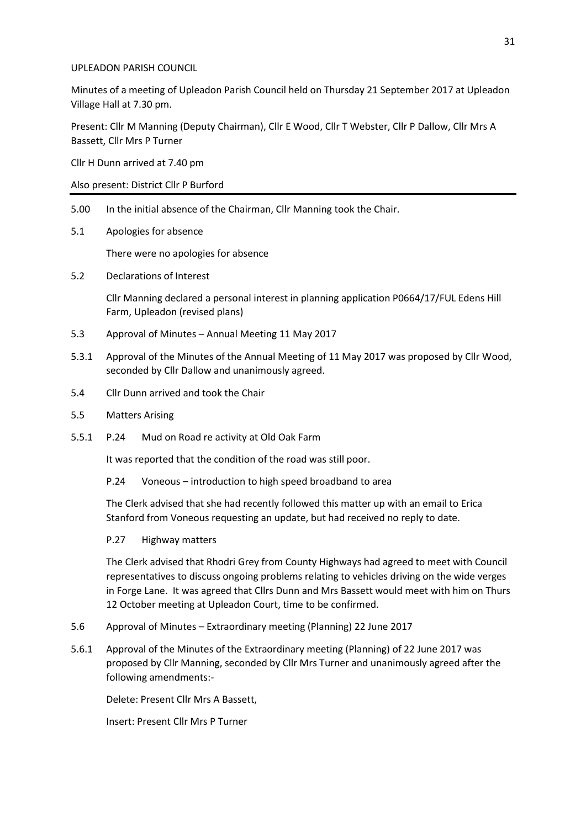## UPLEADON PARISH COUNCIL

Minutes of a meeting of Upleadon Parish Council held on Thursday 21 September 2017 at Upleadon Village Hall at 7.30 pm.

Present: Cllr M Manning (Deputy Chairman), Cllr E Wood, Cllr T Webster, Cllr P Dallow, Cllr Mrs A Bassett, Cllr Mrs P Turner

Cllr H Dunn arrived at 7.40 pm

Also present: District Cllr P Burford

- 5.00 In the initial absence of the Chairman, Cllr Manning took the Chair.
- 5.1 Apologies for absence

There were no apologies for absence

5.2 Declarations of Interest

Cllr Manning declared a personal interest in planning application P0664/17/FUL Edens Hill Farm, Upleadon (revised plans)

- 5.3 Approval of Minutes Annual Meeting 11 May 2017
- 5.3.1 Approval of the Minutes of the Annual Meeting of 11 May 2017 was proposed by Cllr Wood, seconded by Cllr Dallow and unanimously agreed.
- 5.4 Cllr Dunn arrived and took the Chair
- 5.5 Matters Arising
- 5.5.1 P.24 Mud on Road re activity at Old Oak Farm

It was reported that the condition of the road was still poor.

P.24 Voneous – introduction to high speed broadband to area

The Clerk advised that she had recently followed this matter up with an email to Erica Stanford from Voneous requesting an update, but had received no reply to date.

#### P.27 Highway matters

The Clerk advised that Rhodri Grey from County Highways had agreed to meet with Council representatives to discuss ongoing problems relating to vehicles driving on the wide verges in Forge Lane. It was agreed that Cllrs Dunn and Mrs Bassett would meet with him on Thurs 12 October meeting at Upleadon Court, time to be confirmed.

- 5.6 Approval of Minutes Extraordinary meeting (Planning) 22 June 2017
- 5.6.1 Approval of the Minutes of the Extraordinary meeting (Planning) of 22 June 2017 was proposed by Cllr Manning, seconded by Cllr Mrs Turner and unanimously agreed after the following amendments:-

Delete: Present Cllr Mrs A Bassett,

Insert: Present Cllr Mrs P Turner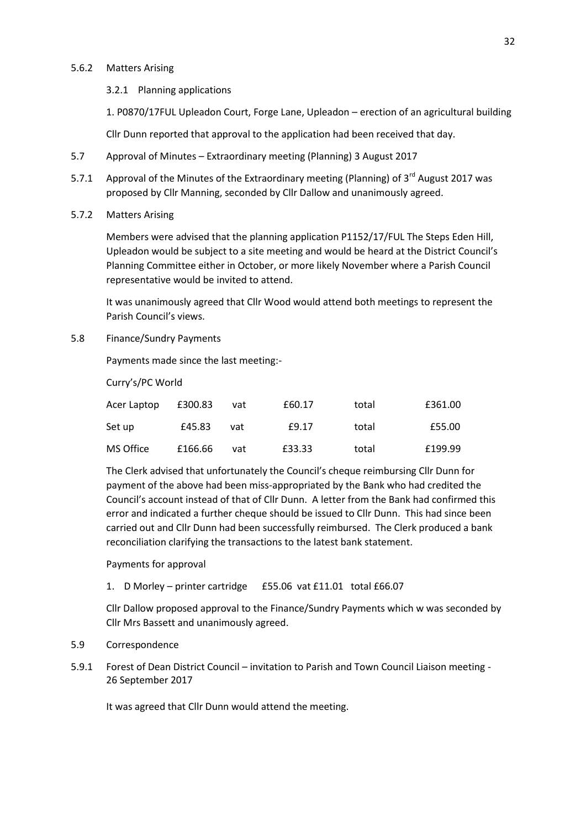### 5.6.2 Matters Arising

## 3.2.1 Planning applications

1. P0870/17FUL Upleadon Court, Forge Lane, Upleadon – erection of an agricultural building

Cllr Dunn reported that approval to the application had been received that day.

- 5.7 Approval of Minutes Extraordinary meeting (Planning) 3 August 2017
- 5.7.1 Approval of the Minutes of the Extraordinary meeting (Planning) of 3<sup>rd</sup> August 2017 was proposed by Cllr Manning, seconded by Cllr Dallow and unanimously agreed.
- 5.7.2 Matters Arising

Members were advised that the planning application P1152/17/FUL The Steps Eden Hill, Upleadon would be subject to a site meeting and would be heard at the District Council's Planning Committee either in October, or more likely November where a Parish Council representative would be invited to attend.

It was unanimously agreed that Cllr Wood would attend both meetings to represent the Parish Council's views.

5.8 Finance/Sundry Payments

Payments made since the last meeting:-

Curry's/PC World

| Acer Laptop | £300.83 | vat | £60.17 | total | £361.00 |
|-------------|---------|-----|--------|-------|---------|
| Set up      | £45.83  | vat | £9.17  | total | £55.00  |
| MS Office   | £166.66 | vat | £33.33 | total | £199.99 |

The Clerk advised that unfortunately the Council's cheque reimbursing Cllr Dunn for payment of the above had been miss-appropriated by the Bank who had credited the Council's account instead of that of Cllr Dunn. A letter from the Bank had confirmed this error and indicated a further cheque should be issued to Cllr Dunn. This had since been carried out and Cllr Dunn had been successfully reimbursed. The Clerk produced a bank reconciliation clarifying the transactions to the latest bank statement.

Payments for approval

## 1. D Morley – printer cartridge £55.06 vat £11.01 total £66.07

Cllr Dallow proposed approval to the Finance/Sundry Payments which w was seconded by Cllr Mrs Bassett and unanimously agreed.

#### 5.9 Correspondence

5.9.1 Forest of Dean District Council – invitation to Parish and Town Council Liaison meeting - 26 September 2017

It was agreed that Cllr Dunn would attend the meeting.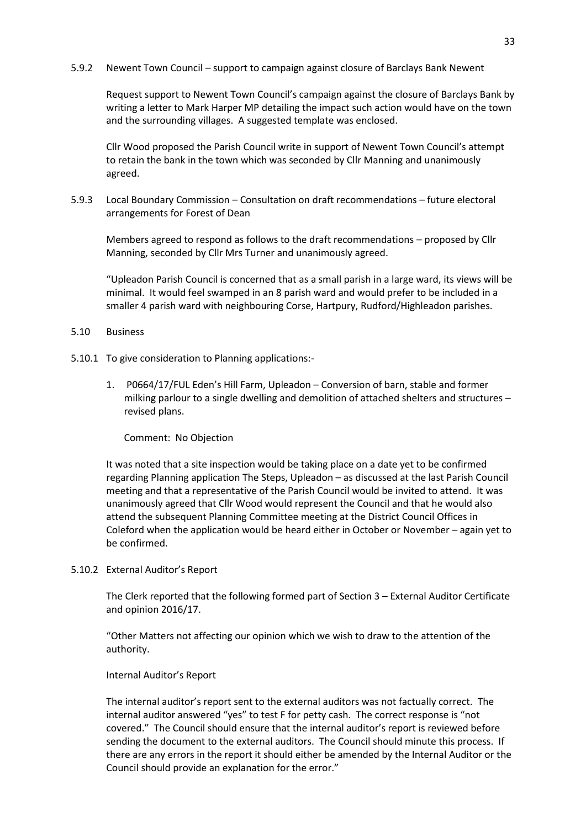5.9.2 Newent Town Council – support to campaign against closure of Barclays Bank Newent

Request support to Newent Town Council's campaign against the closure of Barclays Bank by writing a letter to Mark Harper MP detailing the impact such action would have on the town and the surrounding villages. A suggested template was enclosed.

Cllr Wood proposed the Parish Council write in support of Newent Town Council's attempt to retain the bank in the town which was seconded by Cllr Manning and unanimously agreed.

5.9.3 Local Boundary Commission – Consultation on draft recommendations – future electoral arrangements for Forest of Dean

Members agreed to respond as follows to the draft recommendations – proposed by Cllr Manning, seconded by Cllr Mrs Turner and unanimously agreed.

"Upleadon Parish Council is concerned that as a small parish in a large ward, its views will be minimal. It would feel swamped in an 8 parish ward and would prefer to be included in a smaller 4 parish ward with neighbouring Corse, Hartpury, Rudford/Highleadon parishes.

## 5.10 Business

- 5.10.1 To give consideration to Planning applications:-
	- 1. P0664/17/FUL Eden's Hill Farm, Upleadon Conversion of barn, stable and former milking parlour to a single dwelling and demolition of attached shelters and structures – revised plans.

Comment: No Objection

It was noted that a site inspection would be taking place on a date yet to be confirmed regarding Planning application The Steps, Upleadon – as discussed at the last Parish Council meeting and that a representative of the Parish Council would be invited to attend. It was unanimously agreed that Cllr Wood would represent the Council and that he would also attend the subsequent Planning Committee meeting at the District Council Offices in Coleford when the application would be heard either in October or November – again yet to be confirmed.

5.10.2 External Auditor's Report

The Clerk reported that the following formed part of Section 3 – External Auditor Certificate and opinion 2016/17.

"Other Matters not affecting our opinion which we wish to draw to the attention of the authority.

# Internal Auditor's Report

The internal auditor's report sent to the external auditors was not factually correct. The internal auditor answered "yes" to test F for petty cash. The correct response is "not covered." The Council should ensure that the internal auditor's report is reviewed before sending the document to the external auditors. The Council should minute this process. If there are any errors in the report it should either be amended by the Internal Auditor or the Council should provide an explanation for the error."